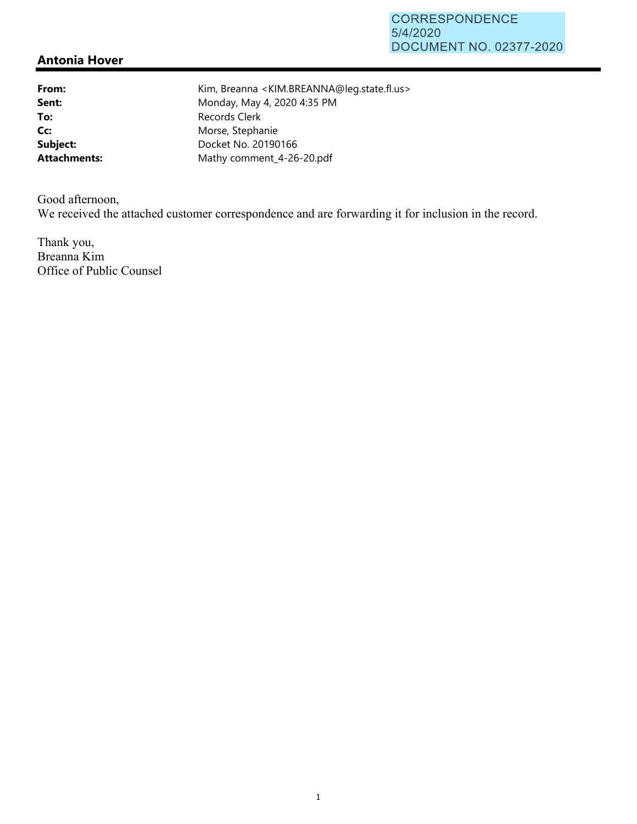## **Antonia Hover**

From: Kim, Breanna <KIM.BREANNA@leg.state.fl.us> **Sent:** Monday, May 4, 2020 4:35 PM To: Records Clerk Cc: Morse, Stephanie **Subject:** Docket No. 20190166 Attachments: Mathy comment\_4-26-20.pdf

Good afternoon, We received the attached customer correspondence and are forwarding it for inclusion in the record.

Thank you, Breanna Kim Office of Public Counsel